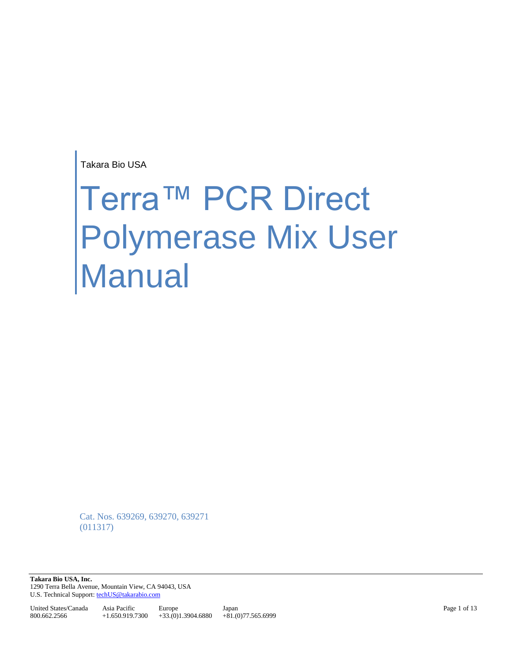Takara Bio USA

# Terra™ PCR Direct Polymerase Mix User Manual

Cat. Nos. 639269, 639270, 639271 (011317)

**Takara Bio USA, Inc.**  1290 Terra Bella Avenue, Mountain View, CA 94043, USA U.S. Technical Support[: techUS@takarabio.com](mailto:techUS@takarabio.com)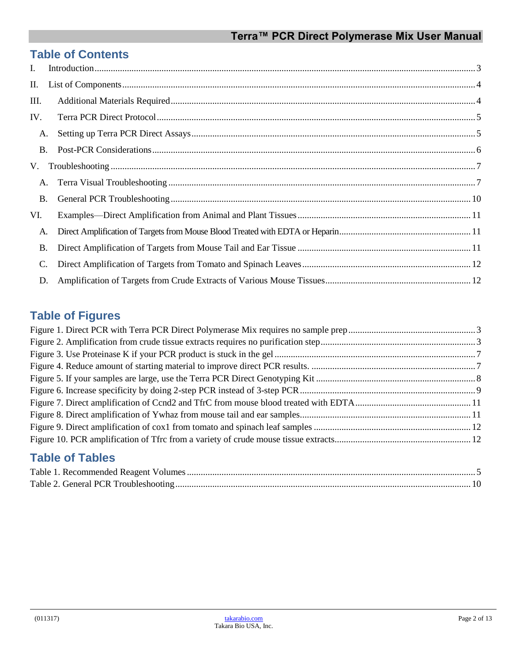# **Table of Contents**

| $\mathbf{I}$ . |  |  |  |
|----------------|--|--|--|
| П.             |  |  |  |
| III.           |  |  |  |
| IV.            |  |  |  |
| A.             |  |  |  |
| <b>B.</b>      |  |  |  |
| V.             |  |  |  |
| A.             |  |  |  |
| <b>B.</b>      |  |  |  |
| VI.            |  |  |  |
| А.             |  |  |  |
| <b>B.</b>      |  |  |  |
| C.             |  |  |  |
| D.             |  |  |  |

# **Table of Figures**

# **Table of Tables**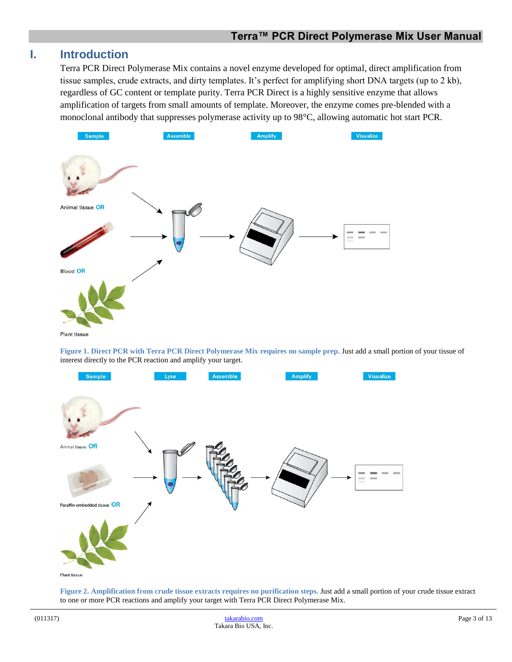#### <span id="page-2-0"></span>**I. Introduction**

Terra PCR Direct Polymerase Mix contains a novel enzyme developed for optimal, direct amplification from tissue samples, crude extracts, and dirty templates. It's perfect for amplifying short DNA targets (up to 2 kb), regardless of GC content or template purity. Terra PCR Direct is a highly sensitive enzyme that allows amplification of targets from small amounts of template. Moreover, the enzyme comes pre-blended with a monoclonal antibody that suppresses polymerase activity up to 98°C, allowing automatic hot start PCR.



**Figure 1. Direct PCR with Terra PCR Direct Polymerase Mix requires no sample prep.** Just add a small portion of your tissue of interest directly to the PCR reaction and amplify your target.

<span id="page-2-1"></span>

<span id="page-2-2"></span>**Figure 2. Amplification from crude tissue extracts requires no purification steps.** Just add a small portion of your crude tissue extract to one or more PCR reactions and amplify your target with Terra PCR Direct Polymerase Mix.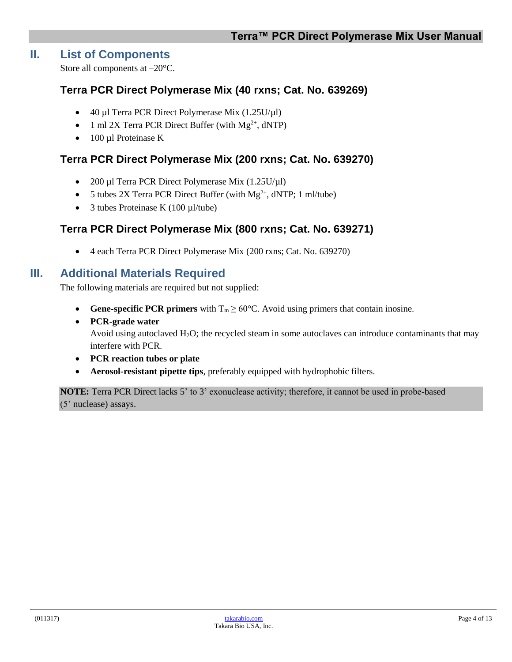#### <span id="page-3-0"></span>**II. List of Components**

Store all components at –20°C.

#### **Terra PCR Direct Polymerase Mix (40 rxns; Cat. No. 639269)**

- $\bullet$  40 µl Terra PCR Direct Polymerase Mix (1.25U/µl)
- 1 ml 2X Terra PCR Direct Buffer (with  $Mg^{2+}$ , dNTP)
- 100 µl Proteinase K

#### **Terra PCR Direct Polymerase Mix (200 rxns; Cat. No. 639270)**

- 200 µl Terra PCR Direct Polymerase Mix (1.25U/µl)
- $\bullet$  5 tubes 2X Terra PCR Direct Buffer (with Mg<sup>2+</sup>, dNTP; 1 ml/tube)
- 3 tubes Proteinase K  $(100 \mu l/tube)$

#### **Terra PCR Direct Polymerase Mix (800 rxns; Cat. No. 639271)**

4 each Terra PCR Direct Polymerase Mix (200 rxns; Cat. No. 639270)

#### <span id="page-3-1"></span>**III. Additional Materials Required**

The following materials are required but not supplied:

- **Gene-specific PCR primers** with  $T_m \ge 60^{\circ}$ C. Avoid using primers that contain inosine.
- **PCR-grade water** Avoid using autoclaved  $H_2O$ ; the recycled steam in some autoclaves can introduce contaminants that may interfere with PCR.
- **PCR reaction tubes or plate**
- **Aerosol-resistant pipette tips**, preferably equipped with hydrophobic filters.

**NOTE:** Terra PCR Direct lacks 5' to 3' exonuclease activity; therefore, it cannot be used in probe-based (5' nuclease) assays.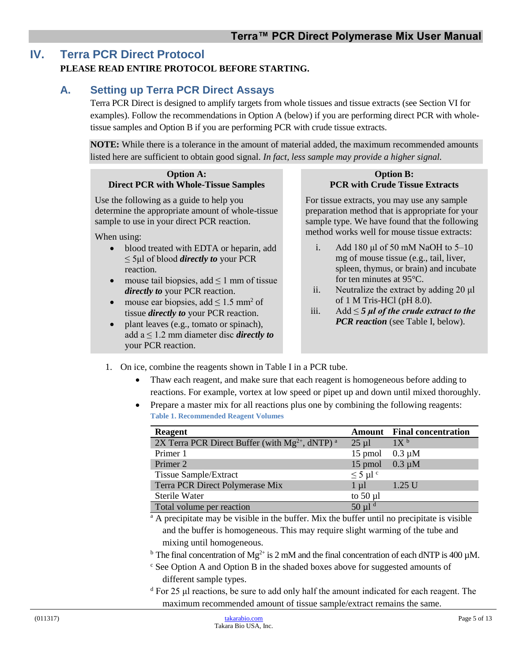## <span id="page-4-0"></span>**IV. Terra PCR Direct Protocol**

#### **PLEASE READ ENTIRE PROTOCOL BEFORE STARTING.**

### <span id="page-4-1"></span>**A. Setting up Terra PCR Direct Assays**

Terra PCR Direct is designed to amplify targets from whole tissues and tissue extracts (see Section VI for examples). Follow the recommendations in Option A (below) if you are performing direct PCR with wholetissue samples and Option B if you are performing PCR with crude tissue extracts.

**NOTE:** While there is a tolerance in the amount of material added, the maximum recommended amounts listed here are sufficient to obtain good signal. *In fact, less sample may provide a higher signal.*

#### **Option A: Direct PCR with Whole-Tissue Samples**

Use the following as a guide to help you determine the appropriate amount of whole-tissue sample to use in your direct PCR reaction.

When using:

- blood treated with EDTA or heparin, add ≤ 5μl of blood *directly to* your PCR reaction.
- mouse tail biopsies, add  $\leq 1$  mm of tissue *directly to* your PCR reaction.
- mouse ear biopsies, add  $\leq 1.5$  mm<sup>2</sup> of tissue *directly to* your PCR reaction.
- plant leaves (e.g., tomato or spinach), add  $a \leq 1.2$  mm diameter disc *directly to* your PCR reaction.

**Option B: PCR with Crude Tissue Extracts**

For tissue extracts, you may use any sample preparation method that is appropriate for your sample type. We have found that the following method works well for mouse tissue extracts:

- i. Add 180 μl of 50 mM NaOH to 5–10 mg of mouse tissue (e.g., tail, liver, spleen, thymus, or brain) and incubate for ten minutes at 95°C.
- ii. Neutralize the extract by adding 20 μl of 1 M Tris-HCl (pH 8.0).
- iii. Add ≤ *5 μl of the crude extract to the PCR reaction* (see Table I, below).
- <span id="page-4-2"></span>1. On ice, combine the reagents shown in Table I in a PCR tube.
	- Thaw each reagent, and make sure that each reagent is homogeneous before adding to reactions. For example, vortex at low speed or pipet up and down until mixed thoroughly.
	- Prepare a master mix for all reactions plus one by combining the following reagents: **Table 1. Recommended Reagent Volumes**

| Reagent                                                       |                     | <b>Amount</b> Final concentration |
|---------------------------------------------------------------|---------------------|-----------------------------------|
| 2X Terra PCR Direct Buffer (with $Mg^{2+}$ , dNTP) $^{\rm a}$ | $25 \mu l$          | 1X <sup>b</sup>                   |
| Primer 1                                                      | 15 pmol             | $0.3 \mu M$                       |
| Primer 2                                                      | 15 pmol             | $0.3 \mu M$                       |
| <b>Tissue Sample/Extract</b>                                  | $\leq$ 5 µl $\circ$ |                                   |
| Terra PCR Direct Polymerase Mix                               | $1 \mu l$           | 1.25 U                            |
| Sterile Water                                                 | to $50 \mu l$       |                                   |
| Total volume per reaction                                     | $50 \mu l^d$        |                                   |

<sup>a</sup> A precipitate may be visible in the buffer. Mix the buffer until no precipitate is visible and the buffer is homogeneous. This may require slight warming of the tube and mixing until homogeneous.

- <sup>b</sup> The final concentration of Mg<sup>2+</sup> is 2 mM and the final concentration of each dNTP is 400  $\mu$ M.
- $\epsilon$  See Option A and Option B in the shaded boxes above for suggested amounts of different sample types.
- <sup>d</sup> For 25 μl reactions, be sure to add only half the amount indicated for each reagent. The maximum recommended amount of tissue sample/extract remains the same.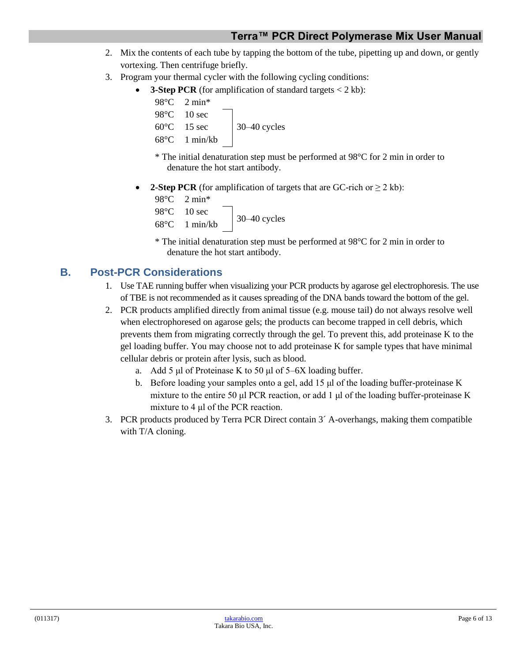- 2. Mix the contents of each tube by tapping the bottom of the tube, pipetting up and down, or gently vortexing. Then centrifuge briefly.
- 3. Program your thermal cycler with the following cycling conditions:
	- **3-Step PCR** (for amplification of standard targets  $\lt 2$  kb):

| $98^{\circ}$ C 2 min <sup>*</sup> |              |
|-----------------------------------|--------------|
| $98^{\circ}$ C 10 sec             |              |
| $60^{\circ}$ C 15 sec             | 30-40 cycles |
| $68^{\circ}$ C 1 min/kb           |              |

\* The initial denaturation step must be performed at 98°C for 2 min in order to denature the hot start antibody.

**2-Step PCR** (for amplification of targets that are GC-rich or  $\geq 2$  kb):

```
98°C 2 min*
98°C 10 sec
68^{\circ}C 1 min/kb 30-40 cycles
```
\* The initial denaturation step must be performed at 98°C for 2 min in order to denature the hot start antibody.

## <span id="page-5-0"></span>**B. Post-PCR Considerations**

- 1. Use TAE running buffer when visualizing your PCR products by agarose gel electrophoresis. The use of TBE is not recommended as it causes spreading of the DNA bands toward the bottom of the gel.
- 2. PCR products amplified directly from animal tissue (e.g. mouse tail) do not always resolve well when electrophoresed on agarose gels; the products can become trapped in cell debris, which prevents them from migrating correctly through the gel. To prevent this, add proteinase K to the gel loading buffer. You may choose not to add proteinase K for sample types that have minimal cellular debris or protein after lysis, such as blood.
	- a. Add 5 μl of Proteinase K to 50 μl of 5–6X loading buffer.
	- b. Before loading your samples onto a gel, add 15 μl of the loading buffer-proteinase K mixture to the entire 50 μl PCR reaction, or add 1 μl of the loading buffer-proteinase K mixture to 4 μl of the PCR reaction.
- 3. PCR products produced by Terra PCR Direct contain 3´ A-overhangs, making them compatible with T/A cloning.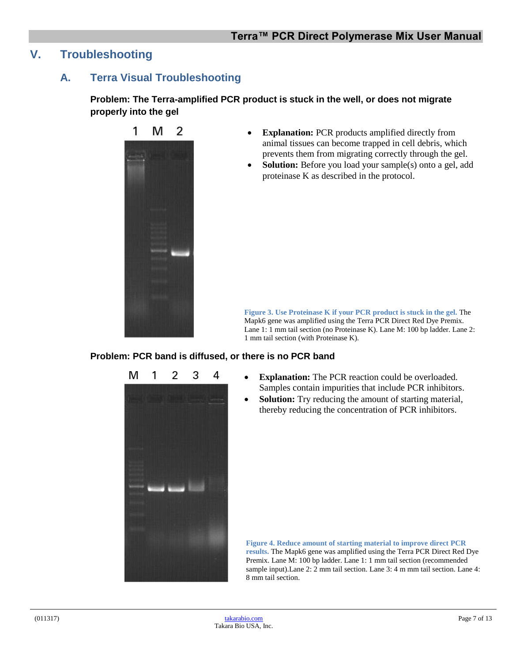## <span id="page-6-1"></span><span id="page-6-0"></span>**V. Troubleshooting**

#### **A. Terra Visual Troubleshooting**

**Problem: The Terra-amplified PCR product is stuck in the well, or does not migrate properly into the gel**



- **Explanation:** PCR products amplified directly from animal tissues can become trapped in cell debris, which prevents them from migrating correctly through the gel.
- **Solution:** Before you load your sample(s) onto a gel, add proteinase K as described in the protocol.

<span id="page-6-2"></span>**Figure 3. Use Proteinase K if your PCR product is stuck in the gel.** The Mapk6 gene was amplified using the Terra PCR Direct Red Dye Premix. Lane 1: 1 mm tail section (no Proteinase K). Lane M: 100 bp ladder. Lane 2: 1 mm tail section (with Proteinase K).

#### **Problem: PCR band is diffused, or there is no PCR band**



- **Explanation:** The PCR reaction could be overloaded. Samples contain impurities that include PCR inhibitors.
- **Solution:** Try reducing the amount of starting material, thereby reducing the concentration of PCR inhibitors.

<span id="page-6-3"></span>**Figure 4. Reduce amount of starting material to improve direct PCR results.** The Mapk6 gene was amplified using the Terra PCR Direct Red Dye Premix. Lane M: 100 bp ladder. Lane 1: 1 mm tail section (recommended sample input).Lane 2: 2 mm tail section. Lane 3: 4 m mm tail section. Lane 4: 8 mm tail section.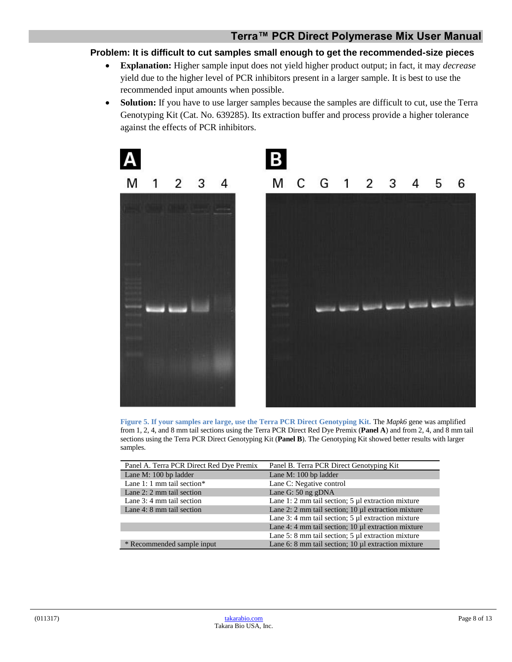#### **Problem: It is difficult to cut samples small enough to get the recommended-size pieces**

- **Explanation:** Higher sample input does not yield higher product output; in fact, it may *decrease* yield due to the higher level of PCR inhibitors present in a larger sample. It is best to use the recommended input amounts when possible.
- **Solution:** If you have to use larger samples because the samples are difficult to cut, use the Terra Genotyping Kit (Cat. No. 639285). Its extraction buffer and process provide a higher tolerance against the effects of PCR inhibitors.



<span id="page-7-0"></span>**Figure 5. If your samples are large, use the Terra PCR Direct Genotyping Kit.** The *Mapk6* gene was amplified from 1, 2, 4, and 8 mm tail sections using the Terra PCR Direct Red Dye Premix (**Panel A**) and from 2, 4, and 8 mm tail sections using the Terra PCR Direct Genotyping Kit (**Panel B**). The Genotyping Kit showed better results with larger samples.

| Panel A. Terra PCR Direct Red Dye Premix | Panel B. Terra PCR Direct Genotyping Kit                 |
|------------------------------------------|----------------------------------------------------------|
| Lane M: 100 bp ladder                    | Lane M: 100 bp ladder                                    |
| Lane 1: 1 mm tail section*               | Lane C: Negative control                                 |
| Lane 2: 2 mm tail section                | Lane G: 50 ng gDNA                                       |
| Lane 3: 4 mm tail section                | Lane 1: 2 mm tail section; 5 $\mu$ l extraction mixture  |
| Lane 4: 8 mm tail section                | Lane 2: 2 mm tail section; $10 \mu l$ extraction mixture |
|                                          | Lane 3: 4 mm tail section; 5 $\mu$ l extraction mixture  |
|                                          | Lane 4: 4 mm tail section; $10 \mu l$ extraction mixture |
|                                          | Lane 5: 8 mm tail section; 5 µl extraction mixture       |
| * Recommended sample input               | Lane 6: 8 mm tail section; $10 \mu l$ extraction mixture |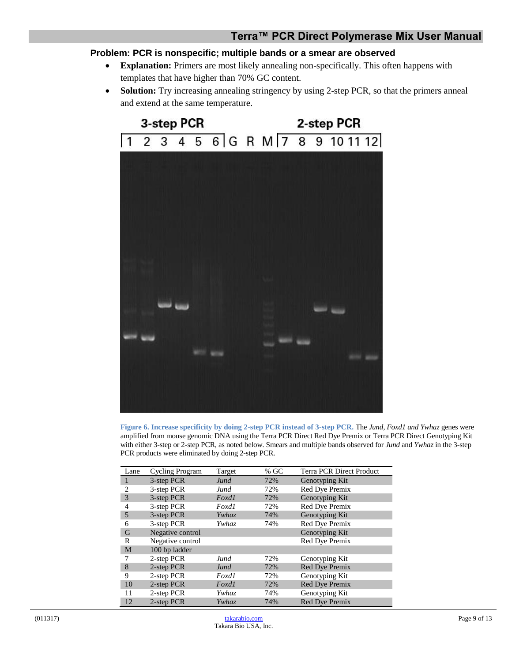#### **Terra™ PCR Direct Polymerase Mix User Manual**

#### **Problem: PCR is nonspecific; multiple bands or a smear are observed**

- **Explanation:** Primers are most likely annealing non-specifically. This often happens with templates that have higher than 70% GC content.
- **Solution:** Try increasing annealing stringency by using 2-step PCR, so that the primers anneal and extend at the same temperature.



<span id="page-8-0"></span>**Figure 6. Increase specificity by doing 2-step PCR instead of 3-step PCR.** The *Jund, Foxd1 and Ywhaz* genes were amplified from mouse genomic DNA using the Terra PCR Direct Red Dye Premix or Terra PCR Direct Genotyping Kit with either 3-step or 2-step PCR, as noted below. Smears and multiple bands observed for *Jund* and *Ywhaz* in the 3-step PCR products were eliminated by doing 2-step PCR.

| Lane           | Cycling Program  | Target       | % $GC$ | <b>Terra PCR Direct Product</b> |
|----------------|------------------|--------------|--------|---------------------------------|
| 1              | 3-step PCR       | Jund         | 72%    | Genotyping Kit                  |
| $\overline{c}$ | 3-step PCR       | Jund         | 72%    | Red Dye Premix                  |
| 3              | 3-step PCR       | Foxdl        | 72%    | Genotyping Kit                  |
| 4              | 3-step PCR       | Foxdl        | 72%    | Red Dye Premix                  |
| 5              | 3-step PCR       | Ywhaz        | 74%    | Genotyping Kit                  |
| 6              | 3-step PCR       | <i>Ywhaz</i> | 74%    | Red Dye Premix                  |
| G              | Negative control |              |        | Genotyping Kit                  |
| R              | Negative control |              |        | Red Dye Premix                  |
| M              | 100 bp ladder    |              |        |                                 |
| 7              | 2-step PCR       | Jund         | 72%    | Genotyping Kit                  |
| 8              | 2-step PCR       | Jund         | 72%    | Red Dye Premix                  |
| 9              | 2-step PCR       | Foxdl        | 72%    | Genotyping Kit                  |
| 10             | 2-step PCR       | Foxdl        | 72%    | Red Dye Premix                  |
| 11             | 2-step PCR       | <i>Ywhaz</i> | 74%    | Genotyping Kit                  |
| 12             | 2-step PCR       | Ywhaz        | 74%    | Red Dye Premix                  |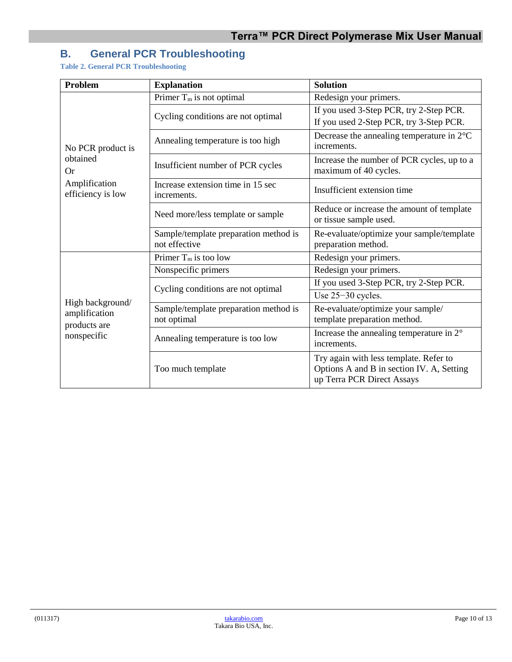## <span id="page-9-0"></span>**B. General PCR Troubleshooting**

<span id="page-9-1"></span>**Table 2. General PCR Troubleshooting**

| <b>Problem</b>                                    | <b>Explanation</b>                                     | <b>Solution</b>                                                                                                   |  |
|---------------------------------------------------|--------------------------------------------------------|-------------------------------------------------------------------------------------------------------------------|--|
|                                                   | Primer $T_m$ is not optimal                            | Redesign your primers.                                                                                            |  |
|                                                   | Cycling conditions are not optimal                     | If you used 3-Step PCR, try 2-Step PCR.                                                                           |  |
|                                                   |                                                        | If you used 2-Step PCR, try 3-Step PCR.                                                                           |  |
| No PCR product is                                 | Annealing temperature is too high                      | Decrease the annealing temperature in $2^{\circ}C$<br>increments.                                                 |  |
| obtained<br>Or                                    | Insufficient number of PCR cycles                      | Increase the number of PCR cycles, up to a<br>maximum of 40 cycles.                                               |  |
| Amplification<br>efficiency is low                | Increase extension time in 15 sec<br>increments.       | Insufficient extension time                                                                                       |  |
|                                                   | Need more/less template or sample                      | Reduce or increase the amount of template<br>or tissue sample used.                                               |  |
|                                                   | Sample/template preparation method is<br>not effective | Re-evaluate/optimize your sample/template<br>preparation method.                                                  |  |
|                                                   | Primer $T_m$ is too low                                | Redesign your primers.                                                                                            |  |
|                                                   | Nonspecific primers                                    | Redesign your primers.                                                                                            |  |
|                                                   | Cycling conditions are not optimal                     | If you used 3-Step PCR, try 2-Step PCR.                                                                           |  |
|                                                   |                                                        | Use 25-30 cycles.                                                                                                 |  |
| High background/<br>amplification<br>products are | Sample/template preparation method is<br>not optimal   | Re-evaluate/optimize your sample/<br>template preparation method.                                                 |  |
| nonspecific                                       | Annealing temperature is too low                       | Increase the annealing temperature in $2^{\circ}$<br>increments.                                                  |  |
|                                                   | Too much template                                      | Try again with less template. Refer to<br>Options A and B in section IV. A, Setting<br>up Terra PCR Direct Assays |  |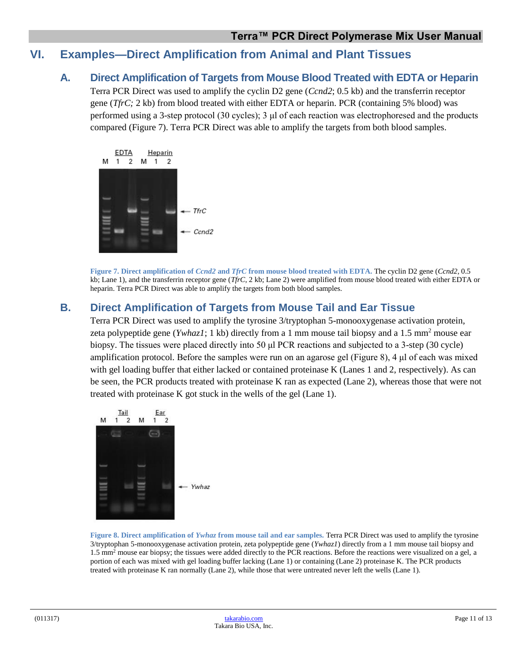## <span id="page-10-1"></span><span id="page-10-0"></span>**VI. Examples—Direct Amplification from Animal and Plant Tissues**

### **A. Direct Amplification of Targets from Mouse Blood Treated with EDTA or Heparin**

Terra PCR Direct was used to amplify the cyclin D2 gene (*Ccnd2*; 0.5 kb) and the transferrin receptor gene (*TfrC;* 2 kb) from blood treated with either EDTA or heparin. PCR (containing 5% blood) was performed using a 3-step protocol (30 cycles); 3 μl of each reaction was electrophoresed and the products compared (Figure 7). Terra PCR Direct was able to amplify the targets from both blood samples.



**Figure 7. Direct amplification of** *Ccnd2* **and** *TfrC* **from mouse blood treated with EDTA.** The cyclin D2 gene (*Ccnd2*, 0.5 kb; Lane 1), and the transferrin receptor gene (*TfrC*, 2 kb; Lane 2) were amplified from mouse blood treated with either EDTA or heparin. Terra PCR Direct was able to amplify the targets from both blood samples.

## <span id="page-10-3"></span><span id="page-10-2"></span>**B. Direct Amplification of Targets from Mouse Tail and Ear Tissue**

Terra PCR Direct was used to amplify the tyrosine 3/tryptophan 5-monooxygenase activation protein, zeta polypeptide gene (*Ywhaz1*; 1 kb) directly from a 1 mm mouse tail biopsy and a 1.5 mm<sup>2</sup> mouse ear biopsy. The tissues were placed directly into 50 μl PCR reactions and subjected to a 3-step (30 cycle) amplification protocol. Before the samples were run on an agarose gel (Figure 8), 4 μl of each was mixed with gel loading buffer that either lacked or contained proteinase K (Lanes 1 and 2, respectively). As can be seen, the PCR products treated with proteinase K ran as expected (Lane 2), whereas those that were not treated with proteinase K got stuck in the wells of the gel (Lane 1).



<span id="page-10-4"></span>**Figure 8. Direct amplification of** *Ywhaz* **from mouse tail and ear samples.** Terra PCR Direct was used to amplify the tyrosine 3/tryptophan 5-monooxygenase activation protein, zeta polypeptide gene (*Ywhaz1*) directly from a 1 mm mouse tail biopsy and  $1.5 \text{ mm}^2$  mouse ear biopsy; the tissues were added directly to the PCR reactions. Before the reactions were visualized on a gel, a portion of each was mixed with gel loading buffer lacking (Lane 1) or containing (Lane 2) proteinase K. The PCR products treated with proteinase K ran normally (Lane 2), while those that were untreated never left the wells (Lane 1).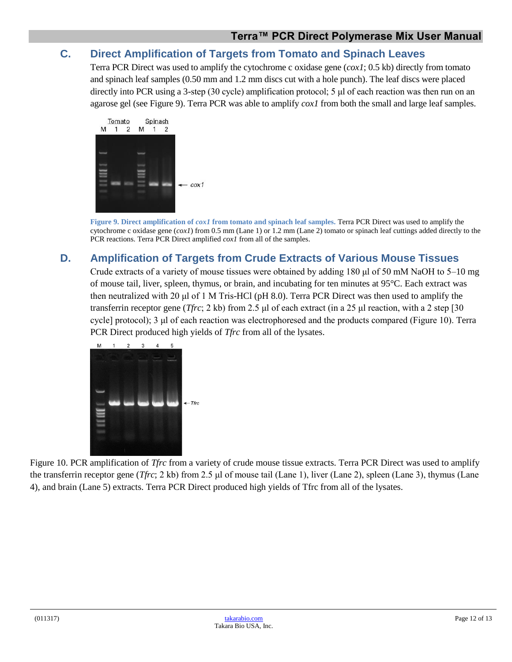## <span id="page-11-0"></span>**C. Direct Amplification of Targets from Tomato and Spinach Leaves**

Terra PCR Direct was used to amplify the cytochrome c oxidase gene (*cox1*; 0.5 kb) directly from tomato and spinach leaf samples (0.50 mm and 1.2 mm discs cut with a hole punch). The leaf discs were placed directly into PCR using a 3-step (30 cycle) amplification protocol; 5 μl of each reaction was then run on an agarose gel (see Figure 9). Terra PCR was able to amplify *cox1* from both the small and large leaf samples.



**Figure 9. Direct amplification of** *cox1* **from tomato and spinach leaf samples.** Terra PCR Direct was used to amplify the cytochrome c oxidase gene (*cox1*) from 0.5 mm (Lane 1) or 1.2 mm (Lane 2) tomato or spinach leaf cuttings added directly to the PCR reactions. Terra PCR Direct amplified *cox1* from all of the samples.

## <span id="page-11-2"></span><span id="page-11-1"></span>**D. Amplification of Targets from Crude Extracts of Various Mouse Tissues**

Crude extracts of a variety of mouse tissues were obtained by adding 180 μl of 50 mM NaOH to 5–10 mg of mouse tail, liver, spleen, thymus, or brain, and incubating for ten minutes at 95°C. Each extract was then neutralized with 20 μl of 1 M Tris-HCl (pH 8.0). Terra PCR Direct was then used to amplify the transferrin receptor gene (*Tfrc*; 2 kb) from 2.5 μl of each extract (in a 25 μl reaction, with a 2 step [30 cycle] protocol); 3 μl of each reaction was electrophoresed and the products compared (Figure 10). Terra PCR Direct produced high yields of *Tfrc* from all of the lysates.



<span id="page-11-3"></span>Figure 10. PCR amplification of *Tfrc* from a variety of crude mouse tissue extracts. Terra PCR Direct was used to amplify the transferrin receptor gene (*Tfrc*; 2 kb) from 2.5 μl of mouse tail (Lane 1), liver (Lane 2), spleen (Lane 3), thymus (Lane 4), and brain (Lane 5) extracts. Terra PCR Direct produced high yields of Tfrc from all of the lysates.